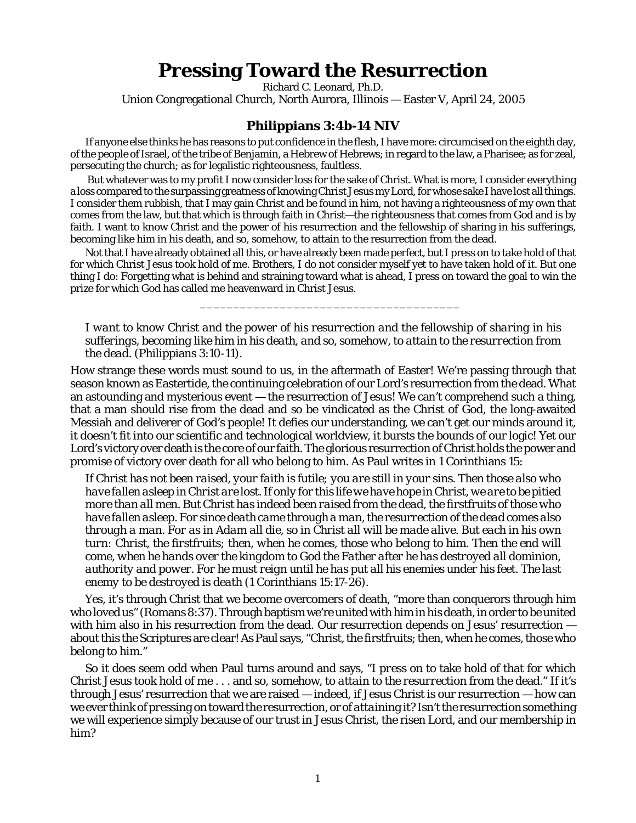## **Pressing Toward the Resurrection**

Richard C. Leonard, Ph.D.

Union Congregational Church, North Aurora, Illinois — Easter V, April 24, 2005

## **Philippians 3:4b-14 NIV**

If anyone else thinks he has reasons to put confidence in the flesh, I have more: circumcised on the eighth day, of the people of Israel, of the tribe of Benjamin, a Hebrew of Hebrews; in regard to the law, a Pharisee; as for zeal, persecuting the church; as for legalistic righteousness, faultless.

 But whatever was to my profit I now consider loss for the sake of Christ. What is more, I consider everything a loss compared to the surpassing greatness of knowing Christ Jesus my Lord, for whose sake I have lost all things. I consider them rubbish, that I may gain Christ and be found in him, not having a righteousness of my own that comes from the law, but that which is through faith in Christ—the righteousness that comes from God and is by faith. I want to know Christ and the power of his resurrection and the fellowship of sharing in his sufferings, becoming like him in his death, and so, somehow, to attain to the resurrection from the dead.

Not that I have already obtained all this, or have already been made perfect, but I press on to take hold of that for which Christ Jesus took hold of me. Brothers, I do not consider myself yet to have taken hold of it. But one thing I do: Forgetting what is behind and straining toward what is ahead, I press on toward the goal to win the prize for which God has called me heavenward in Christ Jesus.

\_\_\_\_\_\_\_\_\_\_\_\_\_\_\_\_\_\_\_\_\_\_\_\_\_\_\_\_\_\_\_\_\_\_\_\_\_\_\_

*I want to know Christ and the power of his resurrection and the fellowship of sharing in his sufferings, becoming like him in his death, and so, somehow, to attain to the resurrection from the dead.* (Philippians 3:10-11).

How strange these words must sound to us, in the aftermath of Easter! We're passing through that season known as Eastertide, the continuing celebration of our Lord's resurrection from the dead. What an astounding and mysterious event — the resurrection of Jesus! We can't comprehend such a thing, that a man should rise from the dead and so be vindicated as the Christ of God, the long-awaited Messiah and deliverer of God's people! It defies our understanding, we can't get our minds around it, it doesn't fit into our scientific and technological worldview, it bursts the bounds of our logic! Yet our Lord's victory over death is the core of our faith. The glorious resurrection of Christ holds the power and promise of victory over death for all who belong to him. As Paul writes in 1 Corinthians 15:

*If Christ has not been raised, your faith is futile; you are still in your sins. Then those also who have fallen asleep in Christ are lost. If only for this life we have hope in Christ, we are to be pitied more than all men. But Christ has indeed been raised from the dead, the firstfruits of those who have fallen asleep. For since death came through a man, the resurrection of the dead comes also through a man. For as in Adam all die, so in Christ all will be made alive. But each in his own turn: Christ, the firstfruits; then, when he comes, those who belong to him. Then the end will come, when he hands over the kingdom to God the Father after he has destroyed all dominion, authority and power. For he must reign until he has put all his enemies under his feet. The last enemy to be destroyed is death* (1 Corinthians 15:17-26).

Yes, it's through Christ that we become overcomers of death, "more than conquerors through him who loved us" (Romans 8:37). Through baptism we're united with him in his death, in order to be united with him also in his resurrection from the dead. Our resurrection depends on Jesus' resurrection  $$ about this the Scriptures are clear! As Paul says, "Christ, the firstfruits; then, when he comes, those who belong to him."

So it does seem odd when Paul turns around and says, "*I press on* to take hold of that for which Christ Jesus took hold of me . . . and so, somehow, to *attain to the resurrection* from the dead." If it's through *Jesus'* resurrection that *we* are raised — indeed, if Jesus Christ *is* our resurrection — how can we ever think of *pressing on* toward the resurrection, or of *attaining* it? Isn't the resurrection something we will experience simply because of our trust in Jesus Christ, the risen Lord, and our membership in him?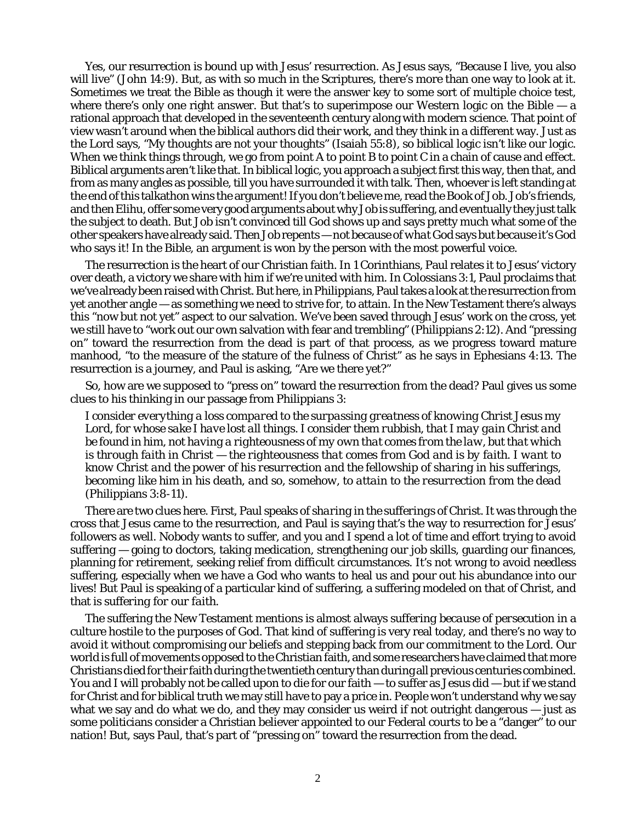Yes, our resurrection is bound up with Jesus' resurrection. As Jesus says, "Because I live, you also will live" (John 14:9). But, as with so much in the Scriptures, there's more than one way to look at it. Sometimes we treat the Bible as though it were the answer key to some sort of multiple choice test, where there's only one right answer. But that's to superimpose our Western logic on the Bible — a rational approach that developed in the seventeenth century along with modern science. That point of view wasn't around when the biblical authors did their work, and they think in a different way. Just as the Lord says, "My thoughts are not your thoughts" (Isaiah 55:8), so biblical logic isn't like our logic. When we think things through, we go from point A to point B to point C in a chain of cause and effect. Biblical arguments aren't like that. In biblical logic, you approach a subject first this way, then that, and from as many angles as possible, till you have surrounded it with talk. Then, whoever is left standing at the end of this talkathon wins the argument! If you don't believe me, read the Book of Job. Job's friends, and then Elihu, offer some very good arguments about why Job is suffering, and eventually they just talk the subject to death. But Job isn't convinced till God shows up and says pretty much what some of the other speakers have already said. *Then* Job repents — not because of *what* God says but because it's God who says it! In the Bible, an argument is won by the person with the most powerful voice.

The resurrection is the heart of our Christian faith. In 1 Corinthians, Paul relates it to Jesus' victory over death, a victory we share with him if we're united with him. In Colossians 3:1, Paul proclaims that we've already been raised with Christ. But here, in Philippians, Paul takes a look at the resurrection from yet another angle — as something we need to strive for, to attain. In the New Testament there's always this "now but not yet" aspect to our salvation. We've been saved through Jesus' work on the cross, yet we still have to "work out our own salvation with fear and trembling" (Philippians 2:12). And "pressing on" toward the resurrection from the dead is part of that process, as we progress toward mature manhood, "to the measure of the stature of the fulness of Christ" as he says in Ephesians 4:13. The resurrection is a journey, and Paul is asking, "Are we there yet?"

So, how are we supposed to "press on" toward the resurrection from the dead? Paul gives us some clues to his thinking in our passage from Philippians 3:

*I consider everything a loss compared to the surpassing greatness of knowing Christ Jesus my Lord, for whose sake I have lost all things. I consider them rubbish, that I may gain Christ and be found in him, not having a righteousness of my own that comes from the law, but that which is through faith in Christ — the righteousness that comes from God and is by faith. I want to know Christ and the power of his resurrection and the fellowship of sharing in his sufferings, becoming like him in his death, and so, somehow, to attain to the resurrection from the dead* (Philippians 3:8-11).

There are two clues here. First, Paul speaks of *sharing in the sufferings of Christ.* It was through the cross that Jesus came to the resurrection, and Paul is saying that's the way to resurrection for Jesus' followers as well. Nobody wants to suffer, and you and I spend a lot of time and effort trying to avoid suffering — going to doctors, taking medication, strengthening our job skills, guarding our finances, planning for retirement, seeking relief from difficult circumstances. It's not wrong to avoid *needless* suffering, especially when we have a God who wants to heal us and pour out his abundance into our lives! But Paul is speaking of a particular kind of suffering, a suffering modeled on that of Christ, and that is *suffering for our faith*.

The suffering the New Testament mentions is almost always *suffering because of persecution* in a culture hostile to the purposes of God*.* That kind of suffering is very real today, and there's no way to avoid it without compromising our beliefs and stepping back from our commitment to the Lord. Our world is full of movements opposed to the Christian faith, and some researchers have claimed that more Christians died for their faith during the twentieth century than during all previous centuries combined. You and I will probably not be called upon to die for our faith — to suffer as Jesus did — but if we stand for Christ and for biblical truth we may still have to pay a price in. People won't understand why we say what we say and do what we do, and they may consider us weird if not outright dangerous — just as some politicians consider a Christian believer appointed to our Federal courts to be a "danger" to our nation! But, says Paul, that's part of "pressing on" toward the resurrection from the dead.